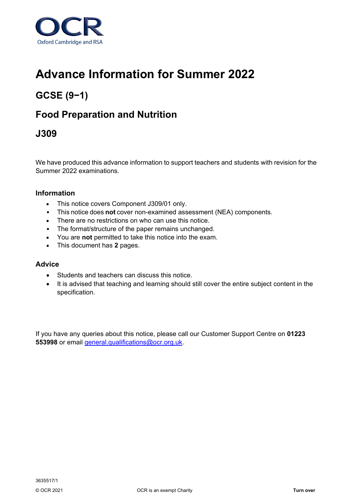

# **Advance Information for Summer 2022**

## **GCSE (9−1)**

## **Food Preparation and Nutrition**

### **J309**

We have produced this advance information to support teachers and students with revision for the Summer 2022 examinations.

#### **Information**

- This notice covers Component J309/01 only.
- This notice does **not** cover non-examined assessment (NEA) components.
- There are no restrictions on who can use this notice.
- The format/structure of the paper remains unchanged.
- You are **not** permitted to take this notice into the exam.
- This document has **2** pages.

#### **Advice**

- Students and teachers can discuss this notice.
- It is advised that teaching and learning should still cover the entire subject content in the specification.

If you have any queries about this notice, please call our Customer Support Centre on **01223 553998** or email [general.qualifications@ocr.org.uk.](mailto:general.qualifications@ocr.org.uk)